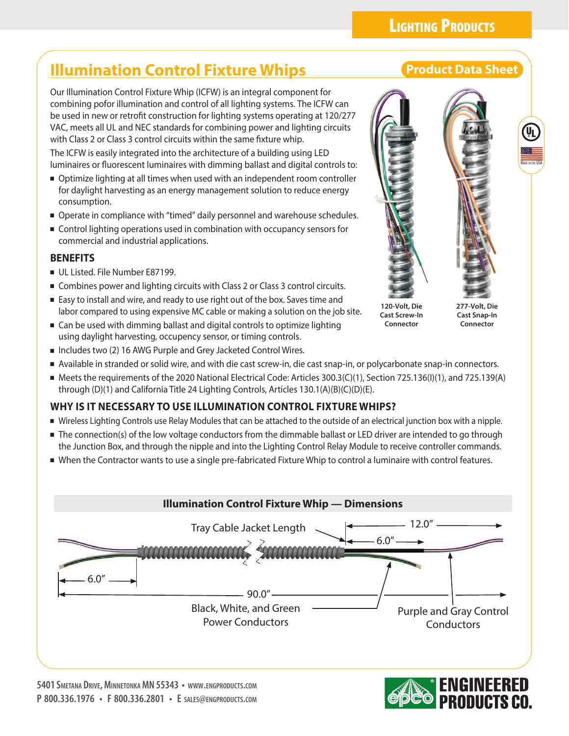## **LIGHTING PRODUCTS**

## **Illumination Control Fixture Whips The Control Product Data Sheet**

Our Illumination Control Fixture Whip (ICFW) is an integral component for combining pofor illumination and control of all lighting systems. The ICFW can be used in new or retrofit construction for lighting systems operating at 120/277 VAC, meets all UL and NEC standards for combining power and lighting circuits with Class 2 or Class 3 control circuits within the same fixture whip.

The ICFW is easily integrated into the architecture of a building using LED luminaires or fluorescent luminaires with dimming ballast and digital controls to:

- Optimize lighting at all times when used with an independent room controller for daylight harvesting as an energy management solution to reduce energy consumption.
- Operate in compliance with "timed" daily personnel and warehouse schedules.
- Control lighting operations used in combination with occupancy sensors for commercial and industrial applications.

### **BENEFITS**

- UL Listed. File Number E87199.
- Combines power and lighting circuits with Class 2 or Class 3 control circuits.
- Easy to install and wire, and ready to use right out of the box. Saves time and labor compared to using expensive MC cable or making a solution on the job site.
- Can be used with dimming ballast and digital controls to optimize lighting using daylight harvesting, occupency sensor, or timing controls.
- Includes two (2) 16 AWG Purple and Grey Jacketed Control Wires.
- Available in stranded or solid wire, and with die cast screw-in, die cast snap-in, or polycarbonate snap-in connectors.
- Meets the requirements of the 2020 National Electrical Code: Articles 300.3(C)(1), Section 725.136(I)(1), and 725.139(A) through (D)(1) and California Title 24 Lighting Controls, Articles 130.1(A)(B)(C)(D)(E).

### **WHY IS IT NECESSARY TO USE ILLUMINATION CONTROL FIXTURE WHIPS?**

- Wireless Lighting Controls use Relay Modules that can be attached to the outside of an electrical junction box with a nipple.
- The connection(s) of the low voltage conductors from the dimmable ballast or LED driver are intended to go through the Junction Box, and through the nipple and into the Lighting Control Relay Module to receive controller commands.
- When the Contractor wants to use a single pre-fabricated Fixture Whip to control a luminaire with control features.







Made in the USA

**120-Volt, Die Cast Screw-In Connector**

**277-Volt, Die Cast Snap-In Connector**

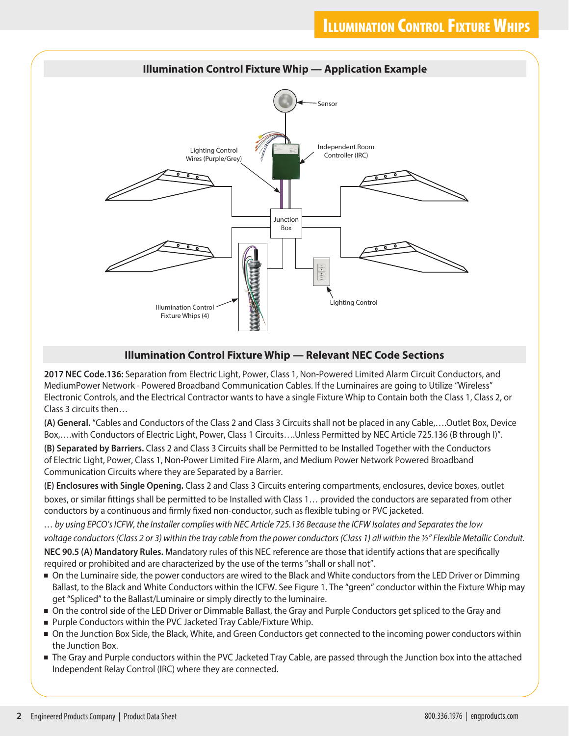

### **Illumination Control Fixture Whip — Relevant NEC Code Sections**

**2017 NEC Code.136:** Separation from Electric Light, Power, Class 1, Non-Powered Limited Alarm Circuit Conductors, and MediumPower Network - Powered Broadband Communication Cables. If the Luminaires are going to Utilize "Wireless" Electronic Controls, and the Electrical Contractor wants to have a single Fixture Whip to Contain both the Class 1, Class 2, or Class 3 circuits then…

**(A) General.** "Cables and Conductors of the Class 2 and Class 3 Circuits shall not be placed in any Cable,….Outlet Box, Device Box,….with Conductors of Electric Light, Power, Class 1 Circuits….Unless Permitted by NEC Article 725.136 (B through I)".

**(B) Separated by Barriers.** Class 2 and Class 3 Circuits shall be Permitted to be Installed Together with the Conductors of Electric Light, Power, Class 1, Non-Power Limited Fire Alarm, and Medium Power Network Powered Broadband Communication Circuits where they are Separated by a Barrier.

**(E) Enclosures with Single Opening.** Class 2 and Class 3 Circuits entering compartments, enclosures, device boxes, outlet boxes, or similar fittings shall be permitted to be Installed with Class 1… provided the conductors are separated from other conductors by a continuous and firmly fixed non-conductor, such as flexible tubing or PVC jacketed.

*… by using EPCO's ICFW, the Installer complies with NEC Article 725.136 Because the ICFW Isolates and Separates the low voltage conductors (Class 2 or 3) within the tray cable from the power conductors (Class 1) all within the ½" Flexible Metallic Conduit.* **NEC 90.5 (A) Mandatory Rules.** Mandatory rules of this NEC reference are those that identify actions that are specifically required or prohibited and are characterized by the use of the terms "shall or shall not".

- On the Luminaire side, the power conductors are wired to the Black and White conductors from the LED Driver or Dimming Ballast, to the Black and White Conductors within the ICFW. See Figure 1. The "green" conductor within the Fixture Whip may get "Spliced" to the Ballast/Luminaire or simply directly to the luminaire.
- On the control side of the LED Driver or Dimmable Ballast, the Gray and Purple Conductors get spliced to the Gray and
- Purple Conductors within the PVC Jacketed Tray Cable/Fixture Whip.
- On the Junction Box Side, the Black, White, and Green Conductors get connected to the incoming power conductors within the Junction Box.
- The Gray and Purple conductors within the PVC Jacketed Tray Cable, are passed through the Junction box into the attached Independent Relay Control (IRC) where they are connected.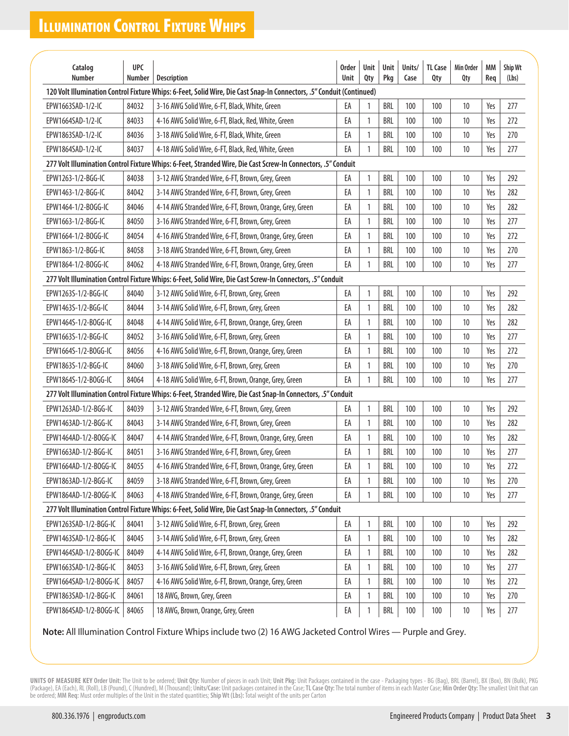# **ILLUMINATION CONTROL FIXTURE WHIPS**

| Catalog                                                                                                                                                                                                                            | <b>UPC</b> |                                                                                                              | Order | Unit | Unit       | Units/ | <b>TL Case</b> | Min Order | MM  | Ship Wt |  |
|------------------------------------------------------------------------------------------------------------------------------------------------------------------------------------------------------------------------------------|------------|--------------------------------------------------------------------------------------------------------------|-------|------|------------|--------|----------------|-----------|-----|---------|--|
| <b>Number</b><br>Number<br>Qty<br>Pkg<br>Req<br><b>Description</b><br>Unit<br>Case<br>Qty<br>Qty<br>(Lbs)<br>120 Volt Illumination Control Fixture Whips: 6-Feet, Solid Wire, Die Cast Snap-In Connectors, .5" Conduit (Continued) |            |                                                                                                              |       |      |            |        |                |           |     |         |  |
| EPW1663SAD-1/2-IC                                                                                                                                                                                                                  | 84032      | 3-16 AWG Solid Wire, 6-FT, Black, White, Green                                                               | EA    | 1    | <b>BRL</b> | 100    | 100            | 10        | Yes | 277     |  |
| EPW1664SAD-1/2-IC                                                                                                                                                                                                                  | 84033      | 4-16 AWG Solid Wire, 6-FT, Black, Red, White, Green                                                          | EA    | 1    | BRL        | 100    | 100            | 10        | Yes | 272     |  |
| EPW1863SAD-1/2-IC                                                                                                                                                                                                                  | 84036      | 3-18 AWG Solid Wire, 6-FT, Black, White, Green                                                               | EA    | 1    | <b>BRL</b> | 100    | 100            | 10        | Yes | 270     |  |
| EPW1864SAD-1/2-IC                                                                                                                                                                                                                  | 84037      | 4-18 AWG Solid Wire, 6-FT, Black, Red, White, Green                                                          | EA    | 1    | <b>BRL</b> | 100    | 100            | 10        | Yes | 277     |  |
| 277 Volt Illumination Control Fixture Whips: 6-Feet, Stranded Wire, Die Cast Screw-In Connectors, .5" Conduit                                                                                                                      |            |                                                                                                              |       |      |            |        |                |           |     |         |  |
| EPW1263-1/2-BGG-IC                                                                                                                                                                                                                 | 84038      | 3-12 AWG Stranded Wire, 6-FT, Brown, Grey, Green                                                             | EA    | 1    | <b>BRL</b> | 100    | 100            | 10        | Yes | 292     |  |
| EPW1463-1/2-BGG-IC                                                                                                                                                                                                                 | 84042      | 3-14 AWG Stranded Wire, 6-FT, Brown, Grey, Green                                                             | EA    | 1    | BRL        | 100    | 100            | 10        | Yes | 282     |  |
| EPW1464-1/2-BOGG-IC                                                                                                                                                                                                                | 84046      | 4-14 AWG Stranded Wire, 6-FT, Brown, Orange, Grey, Green                                                     | EA    | 1    | <b>BRL</b> | 100    | 100            | 10        | Yes | 282     |  |
| EPW1663-1/2-BGG-IC                                                                                                                                                                                                                 | 84050      | 3-16 AWG Stranded Wire, 6-FT, Brown, Grey, Green                                                             | EA    | 1    | BRL        | 100    | 100            | 10        | Yes | 277     |  |
| EPW1664-1/2-BOGG-IC                                                                                                                                                                                                                | 84054      | 4-16 AWG Stranded Wire, 6-FT, Brown, Orange, Grey, Green                                                     | EA    | 1    | <b>BRL</b> | 100    | 100            | 10        | Yes | 272     |  |
| EPW1863-1/2-BGG-IC                                                                                                                                                                                                                 | 84058      | 3-18 AWG Stranded Wire, 6-FT, Brown, Grey, Green                                                             | EA    | 1    | BRL        | 100    | 100            | 10        | Yes | 270     |  |
| EPW1864-1/2-BOGG-IC                                                                                                                                                                                                                | 84062      | 4-18 AWG Stranded Wire, 6-FT, Brown, Orange, Grey, Green                                                     | EA    | 1    | <b>BRL</b> | 100    | 100            | 10        | Yes | 277     |  |
|                                                                                                                                                                                                                                    |            | 277 Volt Illumination Control Fixture Whips: 6-Feet, Solid Wire, Die Cast Screw-In Connectors, .5" Conduit   |       |      |            |        |                |           |     |         |  |
| EPW1263S-1/2-BGG-IC                                                                                                                                                                                                                | 84040      | 3-12 AWG Solid Wire, 6-FT, Brown, Grey, Green                                                                | EA    | 1    | <b>BRL</b> | 100    | 100            | 10        | Yes | 292     |  |
| EPW1463S-1/2-BGG-IC                                                                                                                                                                                                                | 84044      | 3-14 AWG Solid Wire, 6-FT, Brown, Grey, Green                                                                | EA    | 1    | <b>BRL</b> | 100    | 100            | 10        | Yes | 282     |  |
| EPW1464S-1/2-B0GG-IC                                                                                                                                                                                                               | 84048      | 4-14 AWG Solid Wire, 6-FT, Brown, Orange, Grey, Green                                                        | EA    | 1    | <b>BRL</b> | 100    | 100            | 10        | Yes | 282     |  |
| EPW1663S-1/2-BGG-IC                                                                                                                                                                                                                | 84052      | 3-16 AWG Solid Wire, 6-FT, Brown, Grey, Green                                                                | EA    | 1    | <b>BRL</b> | 100    | 100            | 10        | Yes | 277     |  |
| EPW1664S-1/2-BOGG-IC                                                                                                                                                                                                               | 84056      | 4-16 AWG Solid Wire, 6-FT, Brown, Orange, Grey, Green                                                        | EA    | 1    | <b>BRL</b> | 100    | 100            | 10        | Yes | 272     |  |
| EPW1863S-1/2-BGG-IC                                                                                                                                                                                                                | 84060      | 3-18 AWG Solid Wire, 6-FT, Brown, Grey, Green                                                                | EA    | 1    | <b>BRL</b> | 100    | 100            | 10        | Yes | 270     |  |
| EPW1864S-1/2-BOGG-IC                                                                                                                                                                                                               | 84064      | 4-18 AWG Solid Wire, 6-FT, Brown, Orange, Grey, Green                                                        | EA    | 1    | <b>BRL</b> | 100    | 100            | 10        | Yes | 277     |  |
|                                                                                                                                                                                                                                    |            | 277 Volt Illumination Control Fixture Whips: 6-Feet, Stranded Wire, Die Cast Snap-In Connectors, .5" Conduit |       |      |            |        |                |           |     |         |  |
| EPW1263AD-1/2-BGG-IC                                                                                                                                                                                                               | 84039      | 3-12 AWG Stranded Wire, 6-FT, Brown, Grey, Green                                                             | EA    | 1    | <b>BRL</b> | 100    | 100            | 10        | Yes | 292     |  |
| EPW1463AD-1/2-BGG-IC                                                                                                                                                                                                               | 84043      | 3-14 AWG Stranded Wire, 6-FT, Brown, Grey, Green                                                             | EA    | 1    | <b>BRL</b> | 100    | 100            | 10        | Yes | 282     |  |
| EPW1464AD-1/2-B0GG-IC                                                                                                                                                                                                              | 84047      | 4-14 AWG Stranded Wire, 6-FT, Brown, Orange, Grey, Green                                                     | EA    | 1    | BRL        | 100    | 100            | 10        | Yes | 282     |  |
| EPW1663AD-1/2-BGG-IC                                                                                                                                                                                                               | 84051      | 3-16 AWG Stranded Wire, 6-FT, Brown, Grey, Green                                                             | EA    | 1    | <b>BRL</b> | 100    | 100            | 10        | Yes | 277     |  |
| EPW1664AD-1/2-B0GG-IC                                                                                                                                                                                                              | 84055      | 4-16 AWG Stranded Wire, 6-FT, Brown, Orange, Grey, Green                                                     | EA    |      | <b>BRL</b> | 100    | 100            | 10        | Yes | 272     |  |
| EPW1863AD-1/2-BGG-IC                                                                                                                                                                                                               | 84059      | 3-18 AWG Stranded Wire, 6-FT, Brown, Grey, Green                                                             | EA    | 1    | BRL        | 100    | 100            | 10        | Yes | 270     |  |
| EPW1864AD-1/2-BOGG-IC                                                                                                                                                                                                              | 84063      | 4-18 AWG Stranded Wire, 6-FT, Brown, Orange, Grey, Green                                                     | EA    | 1    | BRL        | 100    | 100            | 10        | Yes | 277     |  |
| 277 Volt Illumination Control Fixture Whips: 6-Feet, Solid Wire, Die Cast Snap-In Connectors, .5" Conduit                                                                                                                          |            |                                                                                                              |       |      |            |        |                |           |     |         |  |
| EPW1263SAD-1/2-BGG-IC                                                                                                                                                                                                              | 84041      | 3-12 AWG Solid Wire, 6-FT, Brown, Grey, Green                                                                | EA    | 1    | <b>BRL</b> | 100    | 100            | 10        | Yes | 292     |  |
| EPW1463SAD-1/2-BGG-IC                                                                                                                                                                                                              | 84045      | 3-14 AWG Solid Wire, 6-FT, Brown, Grey, Green                                                                | EA    | 1    | BRL        | 100    | 100            | 10        | Yes | 282     |  |
| EPW1464SAD-1/2-BOGG-IC                                                                                                                                                                                                             | 84049      | 4-14 AWG Solid Wire, 6-FT, Brown, Orange, Grey, Green                                                        | EA    | 1    | BRL        | 100    | 100            | 10        | Yes | 282     |  |
| EPW1663SAD-1/2-BGG-IC                                                                                                                                                                                                              | 84053      | 3-16 AWG Solid Wire, 6-FT, Brown, Grey, Green                                                                | EA    | 1    | BRL        | 100    | 100            | 10        | Yes | 277     |  |
| EPW1664SAD-1/2-BOGG-IC                                                                                                                                                                                                             | 84057      | 4-16 AWG Solid Wire, 6-FT, Brown, Orange, Grey, Green                                                        | EA    | 1    | BRL        | 100    | 100            | 10        | Yes | 272     |  |
| EPW1863SAD-1/2-BGG-IC                                                                                                                                                                                                              | 84061      | 18 AWG, Brown, Grey, Green                                                                                   | EA    | 1    | BRL        | 100    | 100            | 10        | Yes | 270     |  |
| EPW1864SAD-1/2-BOGG-IC                                                                                                                                                                                                             | 84065      | 18 AWG, Brown, Orange, Grey, Green                                                                           | EA    | 1    | BRL        | 100    | 100            | 10        | Yes | 277     |  |

**Note:** All Illumination Control Fixture Whips include two (2) 16 AWG Jacketed Control Wires — Purple and Grey.

UNITS OF MEASURE KEY Order Unit: The Unit to be ordered; Unit Qty: Number of pieces in each Unit; Unit Pkg: Unit Packages contained in the case - Packaging types - BG (Bag), BRL (Barrel), BX (Box), BN (Bulk), PKG (Package), EA (Each), RL (Roll), LB (Pound), C (Hundred), M (Thousand); Units/Case: Unit packages contained in the Case; TL Case Qty: The total number of items in each Master Case; Min Order Qty: The smallest Unit that can be ordered; **MM Req:** Must order multiples of the Unit in the stated quantities; **Ship Wt (Lbs):** Total weight of the units per Carton